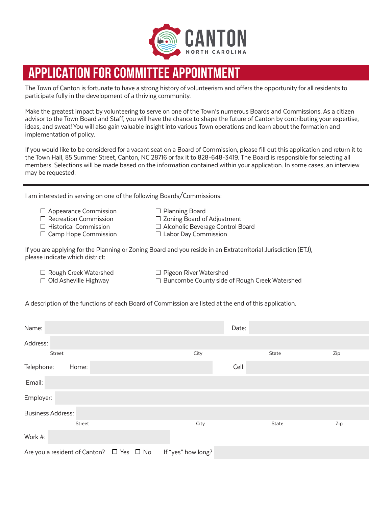

# **APPLICATION FOR COMMITTEE APPOINTMENT**

The Town of Canton is fortunate to have a strong history of volunteerism and offers the opportunity for all residents to participate fully in the development of a thriving community.

Make the greatest impact by volunteering to serve on one of the Town's numerous Boards and Commissions. As a citizen advisor to the Town Board and Staff, you will have the chance to shape the future of Canton by contributing your expertise, ideas, and sweat! You will also gain valuable insight into various Town operations and learn about the formation and implementation of policy.

If you would like to be considered for a vacant seat on a Board of Commission, please fill out this application and return it to the Town Hall, 85 Summer Street, Canton, NC 28716 or fax it to 828-648-3419. The Board is responsible for selecting all members. Selections will be made based on the information contained within your application. In some cases, an interview may be requested.

I am interested in serving on one of the following Boards/Commissions:

| $\Box$ Appearance Commission | $\Box$ Planning Board                   |
|------------------------------|-----------------------------------------|
| $\Box$ Recreation Commission | $\Box$ Zoning Board of Adjustment       |
| $\Box$ Historical Commission | $\Box$ Alcoholic Beverage Control Board |
| $\Box$ Camp Hope Commission  | $\Box$ Labor Day Commission             |

If you are applying for the Planning or Zoning Board and you reside in an Extraterritorial Jurisdiction (ETJ), please indicate which district:

 $\Box$  Rough Creek Watershed  $\Box$  Pigeon River Watershed

 $\Box$  Old Asheville Highway  $\Box$  Buncombe County side of Rough Creek Watershed

A description of the functions of each Board of Commission are listed at the end of this application.

| Name:                                                                    | Date: |       |     |
|--------------------------------------------------------------------------|-------|-------|-----|
| Address:                                                                 |       |       |     |
| Street                                                                   | City  | State | Zip |
| Telephone:<br>Home:                                                      | Cell: |       |     |
| Email:                                                                   |       |       |     |
| Employer:                                                                |       |       |     |
| <b>Business Address:</b>                                                 |       |       |     |
| Street                                                                   | City  | State | Zip |
| Work #:                                                                  |       |       |     |
| Are you a resident of Canton? $\Box$ Yes $\Box$ No<br>If "yes" how long? |       |       |     |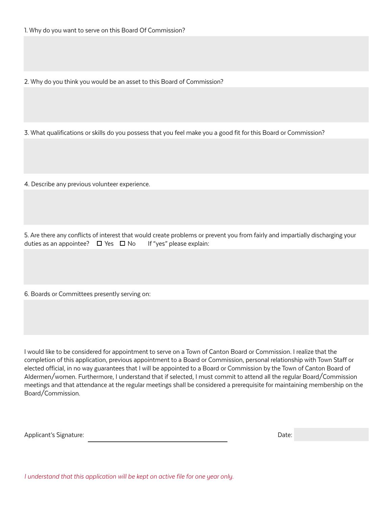2. Why do you think you would be an asset to this Board of Commission?

3. What qualifications or skills do you possess that you feel make you a good fit for this Board or Commission?

4. Describe any previous volunteer experience.

5. Are there any conflicts of interest that would create problems or prevent you from fairly and impartially discharging your duties as an appointee?  $\Box$  Yes  $\Box$  No If "yes" please explain:

6. Boards or Committees presently serving on:

I would like to be considered for appointment to serve on a Town of Canton Board or Commission. I realize that the completion of this application, previous appointment to a Board or Commission, personal relationship with Town Staff or elected official, in no way guarantees that I will be appointed to a Board or Commission by the Town of Canton Board of Aldermen/women. Furthermore, I understand that if selected, I must commit to attend all the regular Board/Commission meetings and that attendance at the regular meetings shall be considered a prerequisite for maintaining membership on the Board/Commission.

Applicant's Signature: Date:

I understand that this application will be kept on active file for one year only.